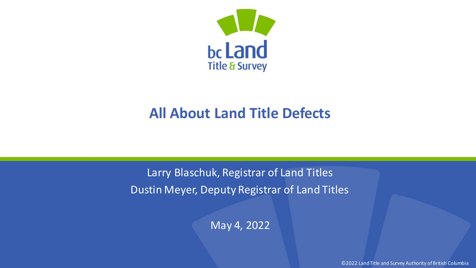

#### **All About Land Title Defects**

Larry Blaschuk, Registrar of Land Titles Dustin Meyer, Deputy Registrar of Land Titles

May 4, 2022

©2022 Land Title and Survey Authority of British Columbia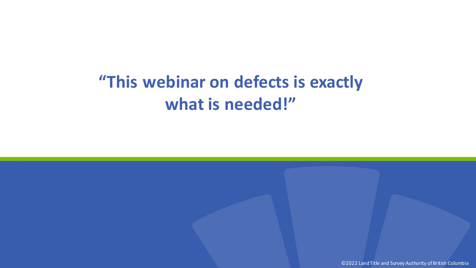## **"This webinar on defects is exactly what is needed!"**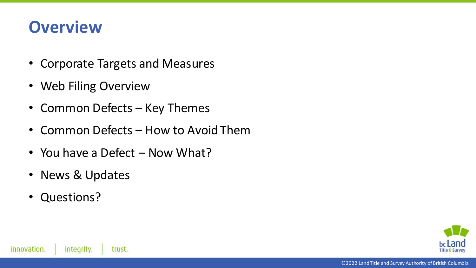#### **Overview**

- Corporate Targets and Measures
- Web Filing Overview
- Common Defects Key Themes
- Common Defects How to Avoid Them
- You have a Defect Now What?
- News & Updates
- Questions?

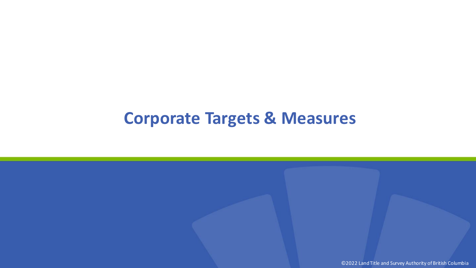#### **Corporate Targets & Measures**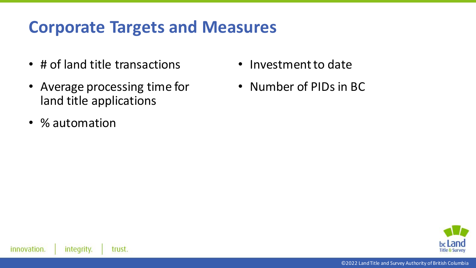#### **Corporate Targets and Measures**

- # of land title transactions
- Average processing time for land title applications
- % automation
- Investment to date
- Number of PIDs in BC

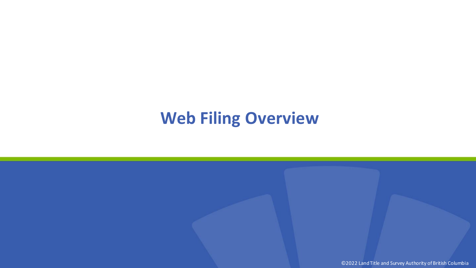#### **Web Filing Overview**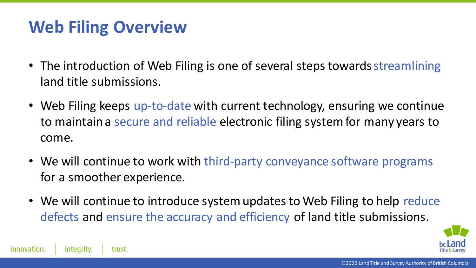#### **Web Filing Overview**

- The introduction of Web Filing is one of several steps towards streamlining land title submissions.
- Web Filing keeps up-to-date with current technology, ensuring we continue to maintain a secure and reliable electronic filing system for many years to come.
- We will continue to work with third-party conveyance software programs for a smoother experience.
- We will continue to introduce system updates to Web Filing to help reduce defects and ensure the accuracy and efficiency of land title submissions.

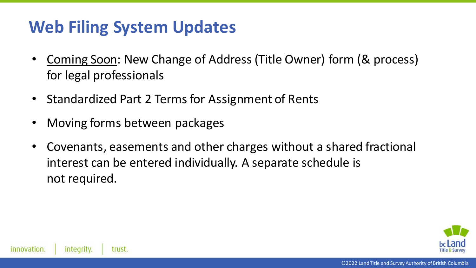### **Web Filing System Updates**

- Coming Soon: New Change of Address (Title Owner) form (& process) for legal professionals
- Standardized Part 2 Terms for Assignment of Rents
- Moving forms between packages
- Covenants, easements and other charges without a shared fractional interest can be entered individually. A separate schedule is not required.

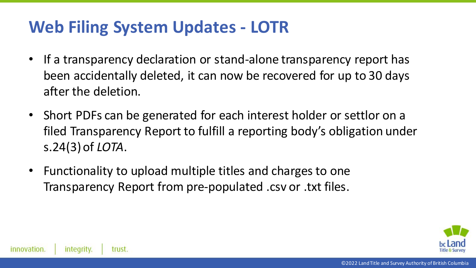#### **Web Filing System Updates - LOTR**

- If a transparency declaration or stand-alone transparency report has been accidentally deleted, it can now be recovered for up to 30 days after the deletion.
- Short PDFs can be generated for each interest holder or settlor on a filed Transparency Report to fulfill a reporting body's obligation under s.24(3) of *LOTA*.
- Functionality to upload multiple titles and charges to one Transparency Report from pre-populated .csv or .txt files.

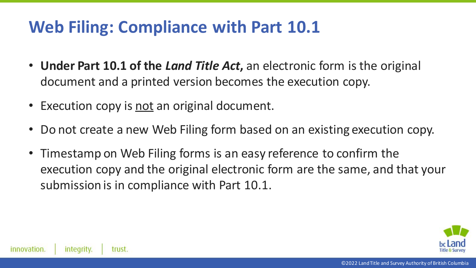### **Web Filing: Compliance with Part 10.1**

- **Under Part 10.1 of the** *Land Title Act***,** an electronic form is the original document and a printed version becomes the execution copy.
- Execution copy is not an original document.
- Do not create a new Web Filing form based on an existing execution copy.
- Timestamp on Web Filing forms is an easy reference to confirm the execution copy and the original electronic form are the same, and that your submission is in compliance with Part 10.1.

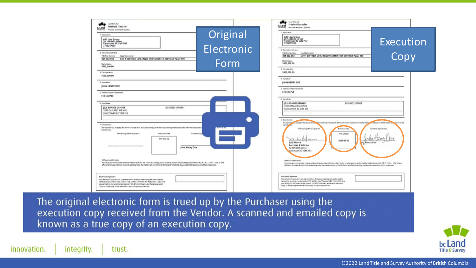| <b>STAN Land Tole Act</b><br>Freehold Transfer<br>ticLand<br>Province of British Columbia<br><b>Tolla &amp; Suit-eng</b><br>1. Application<br>ABC Law Group<br>20-144 Bells Street<br>Vancouver BC V2N 7U7<br>7783219090<br>2. Description of Land<br>PENTUA Number<br><b>Legal Description</b><br>001-002-003<br>LOT 1 DISTRICT LOT 2 NEW WESTMINSTER DISTRICT PLAN 100<br>Market Value<br>1500.000.00                                                                                                                                                                                                                                         | Original<br>Electronic<br>Form | Freehold Transfer<br>actand<br>Province of British Columbia<br><b><i><u>Shirt Country</u></i></b><br>1.Application<br>ABC Law Group<br>20-144 Bells Street<br>Vancouver BC V2N 7U7<br><b>Execution</b><br>7783219090<br>I Description of Land.<br><b>FIDITIAL/Autober</b><br>Legal Description<br>Copy<br>LOT 1 DISTRICT LOT 2 NEW WESTMINSTER DISTRICT PLAN 100<br>001-002-003<br><b>Market Value</b><br>\$500,000.00<br>3. Consideration                                                                                                                                                                                                                                                                                                                                                            |
|-------------------------------------------------------------------------------------------------------------------------------------------------------------------------------------------------------------------------------------------------------------------------------------------------------------------------------------------------------------------------------------------------------------------------------------------------------------------------------------------------------------------------------------------------------------------------------------------------------------------------------------------------|--------------------------------|-------------------------------------------------------------------------------------------------------------------------------------------------------------------------------------------------------------------------------------------------------------------------------------------------------------------------------------------------------------------------------------------------------------------------------------------------------------------------------------------------------------------------------------------------------------------------------------------------------------------------------------------------------------------------------------------------------------------------------------------------------------------------------------------------------|
| 3. Consideration<br>\$500,000.00<br>4. Transferor<br>JOHN HENRY DOE<br>5. Freehold Estate Transferred<br>FEE SIMPLE<br>6. Transferee<br><b>IILL BONNIE DENVER</b><br><b>BUSINESS OWNER</b><br>7891 OAKLAND AVENUE<br>VANCOUVER BC V3M 3E3                                                                                                                                                                                                                                                                                                                                                                                                       |                                | \$500,000.00<br>4. franchivor<br>JOHN HENRY DOE<br>5. Freehold Estate Triansferred<br><b>FEE SIMPLE</b><br>6. Transferee<br><b>ISLL BONNIE DENVER</b><br><b>BUSINESS OWNER</b><br>7891 OAKLAND AVENUE<br>VANCOUVER BC V3M 3E3                                                                                                                                                                                                                                                                                                                                                                                                                                                                                                                                                                         |
| 7. Execution(s)<br>The transferors) accepts into above consideration and understandis) that the intrinsic sperates to transfer the freehold estate in<br>transfereets).<br>Transferor Sig-<br>Witewstong Officer Signature<br>Evacuation Date<br>WW.MM-DD<br>John Henry Doe<br><b>Gifficer Centification</b><br>Your oignature constitutes a representation that you are a solicitist notary public or other person authorized by the Bostence Art R.S.B.C. 1996, c 124, to take<br>afficiants for use in Dritch Columbia and certifies the matters set out in Eart S of the Land Stin-Artist they pertein to the execution of this instrument. | <b>POSTELE</b>                 | 7 Executionist<br>The transfer of interpretation above control with and understand(s) that the instrument species to transfer that your distance in the land described the total that<br>traisfeal<br>Writerassing Officer Signature<br><b>Bracuminn Data</b><br><b>Transferor Signature(s)</b><br>I'VE ARA CO.<br>National R<br>2020-05-12<br>Judy Moore<br><b>Barrister &amp; Solicitor</b><br>12-589 68th Street<br>Vancouver BC V3M 2W2<br>Officer Centification<br>Your ophotors constitutes are presentation that you are a policitos natary public or other person authorized by the Zintletowkit R.S.B.C. 1994, c.124, to take<br>affictavity for use in British Columbia and certifies the matters per out in them I of the Land Directors they pertain to the execution of this instrument. |
| Electronic Signature<br>Your electronic signature is a representation that you are a designate authorized to<br>cently this document under section 148.4 of the Land Title Art RSBC 1994 x 250, that<br>you certify this document under section 163.41(4) of the act, and that an execution<br>copy, or arrue copy of that execution copy, is in your possession.                                                                                                                                                                                                                                                                               |                                | <b><i><u>Hectronic Signature</u></i></b><br>Your electronic signature is a representation that you are a designate authorized to<br>cently this stocument under pection 143L & of the Land Tole Act RSBC 1006 c 250, that<br>you certify this discurrent under paction 163.41(4) of the act, and that an electron<br>copy, or a true copy of that execution copy, is in your possession.                                                                                                                                                                                                                                                                                                                                                                                                              |

The original electronic form is trued up by the Purchaser using the execution copy received from the Vendor. A scanned and emailed copy is known as a true copy of an execution copy.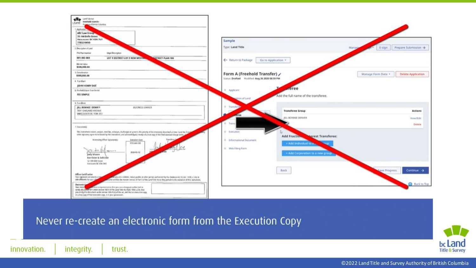

Never re-create an electronic form from the Execution Copy

innovation.

integrity.

trust.

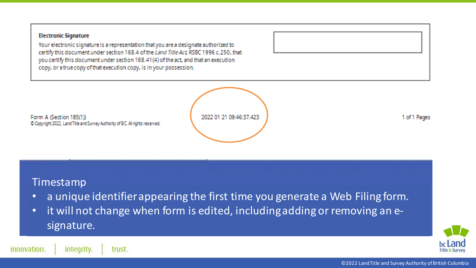#### **Electronic Signature**

Your electronic signature is a representation that you are a designate authorized to certify this document under section 168.4 of the Land Title Act, RSBC 1996 c.250, that you certify this document under section 168.41(4) of the act, and that an execution copy, or a true copy of that execution copy, is in your possession.

2022 01 21 09:46:37 423

1 of 1 Pages

#### Timestamp

Form A (Section 185(1))

C Copyright 2022, Land Title and Survey Authority of BC. All rights reserved.

- a unique identifier appearing the first time you generate a Web Filing form.
- it will not change when form is edited, including adding or removing an esignature.



innovation. integrity. trust.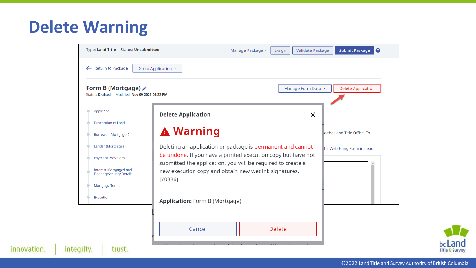#### **Delete Warning**

innovation.

| Form B (Mortgage) $\hat{\mathcal{S}}$<br>Status: Drafted Modified: Nov 09 2021 03:22 PM | Manage Form Data                                                 | <b>Delete Application</b>   |
|-----------------------------------------------------------------------------------------|------------------------------------------------------------------|-----------------------------|
| Applicant                                                                               | <b>Delete Application</b><br>X                                   |                             |
| <b>Description of Land</b>                                                              |                                                                  |                             |
| <b>Borrower (Mortgagor)</b>                                                             | <b>A</b> Warning                                                 | o the Land Title Office. To |
| Lender (Mortgagee)                                                                      | Deleting an application or package is permanent and cannot       | he Web Filing Form instead. |
| <b>Payment Provisions</b>                                                               | be undone. If you have a printed execution copy but have not     |                             |
| <b>Interest Mortgaged and</b>                                                           | submitted the application, you will be required to create a      |                             |
| <b>Floating/Security Details</b>                                                        | new execution copy and obtain new wet ink signatures.<br>[70336] |                             |
| <b>Mortgage Terms</b>                                                                   |                                                                  |                             |
| Execution                                                                               | Application: Form B (Mortgage)                                   |                             |
|                                                                                         |                                                                  |                             |

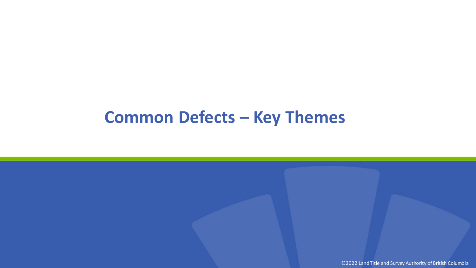#### **Common Defects – Key Themes**

©2022 Land Title and Survey Authority of British Columbia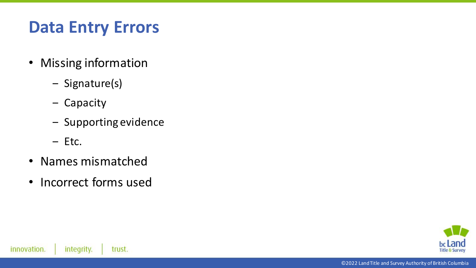## **Data Entry Errors**

- Missing information
	- ‒ Signature(s)
	- ‒ Capacity
	- Supporting evidence
	- ‒ Etc.
- Names mismatched
- Incorrect forms used

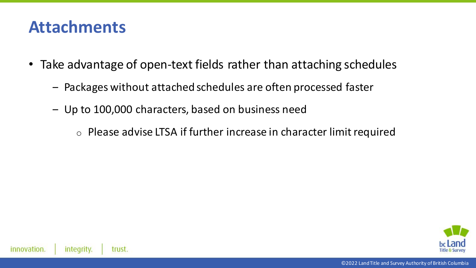#### **Attachments**

- Take advantage of open-text fields rather than attaching schedules
	- ‒ Packages without attached schedules are often processed faster
	- ‒ Up to 100,000 characters, based on business need
		- o Please advise LTSA if further increase in character limit required

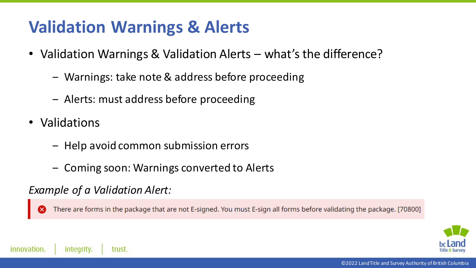### **Validation Warnings & Alerts**

- Validation Warnings & Validation Alerts what's the difference?
	- ‒ Warnings: take note & address before proceeding
	- ‒ Alerts: must address before proceeding
- Validations
	- ‒ Help avoid common submission errors
	- ‒ Coming soon: Warnings converted to Alerts

#### *Example of a Validation Alert:*

There are forms in the package that are not E-signed. You must E-sign all forms before validating the package. [70800]

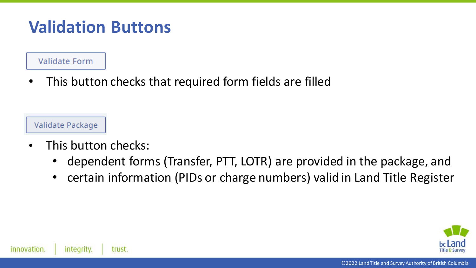#### **Validation Buttons**

Validate Form

• This button checks that required form fields are filled

Validate Package

- This button checks:
	- dependent forms (Transfer, PTT, LOTR) are provided in the package, and
	- certain information (PIDs or charge numbers) valid in Land Title Register

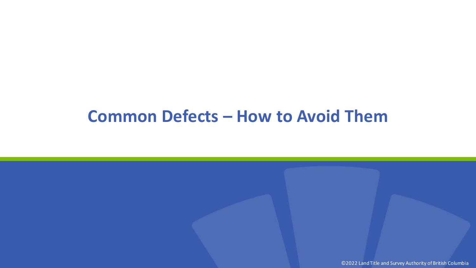#### **Common Defects – How to Avoid Them**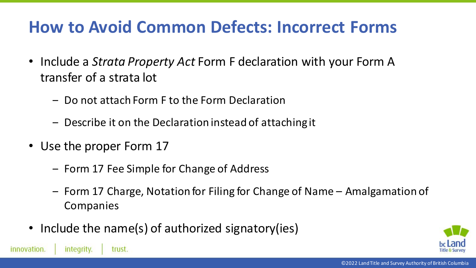### **How to Avoid Common Defects: Incorrect Forms**

- Include a *Strata Property Act* Form F declaration with your Form A transfer of a strata lot
	- ‒ Do not attach Form F to the Form Declaration
	- ‒ Describe it on the Declaration instead of attaching it
- Use the proper Form 17

trust.

integrity.

innovation.

- ‒ Form 17 Fee Simple for Change of Address
- ‒ Form 17 Charge, Notation for Filing for Change of Name Amalgamation of Companies
- Include the name(s) of authorized signatory(ies)

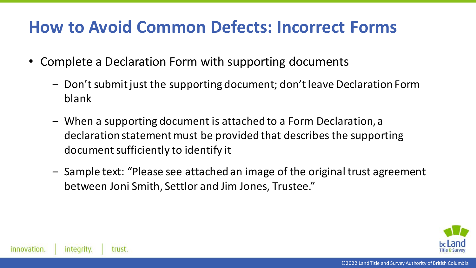#### **How to Avoid Common Defects: Incorrect Forms**

- Complete a Declaration Form with supporting documents
	- ‒ Don't submit just the supporting document; don't leave Declaration Form blank
	- ‒ When a supporting document is attached to a Form Declaration, a declaration statement must be provided that describes the supporting document sufficiently to identify it
	- ‒ Sample text: "Please see attached an image of the original trust agreement between Joni Smith, Settlor and Jim Jones, Trustee."

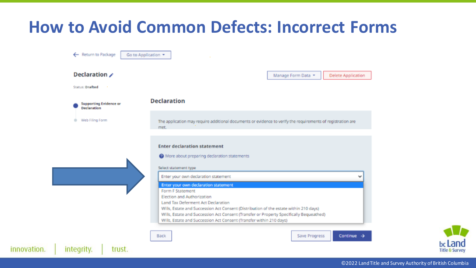#### **How to Avoid Common Defects: Incorrect Forms**

|                                                     | Manage Form Data<br><b>Delete Application</b>                                                                                                                  |  |  |
|-----------------------------------------------------|----------------------------------------------------------------------------------------------------------------------------------------------------------------|--|--|
| <b>Status: Drafted</b>                              |                                                                                                                                                                |  |  |
| <b>Supporting Evidence or</b><br><b>Declaration</b> | <b>Declaration</b>                                                                                                                                             |  |  |
| Web Filing Form                                     | The application may require additional documents or evidence to verify the requirements of registration are<br>met.                                            |  |  |
|                                                     | <b>Enter declaration statement</b>                                                                                                                             |  |  |
|                                                     | <sup>2</sup> More about preparing declaration statements                                                                                                       |  |  |
|                                                     | Select statement type                                                                                                                                          |  |  |
|                                                     | Enter your own declaration statement<br>v                                                                                                                      |  |  |
|                                                     | Enter your own declaration statement<br>Form F Statement                                                                                                       |  |  |
|                                                     | Election and Authorization                                                                                                                                     |  |  |
|                                                     |                                                                                                                                                                |  |  |
|                                                     | <b>Land Tax Deferment Act Declaration</b>                                                                                                                      |  |  |
|                                                     | Wills, Estate and Succession Act Consent (Distribution of the estate within 210 days)                                                                          |  |  |
|                                                     | Wills, Estate and Succession Act Consent (Transfer or Property Specifically Bequeathed)<br>Wills, Estate and Succession Act Consent (Transfer within 210 days) |  |  |

innovation.

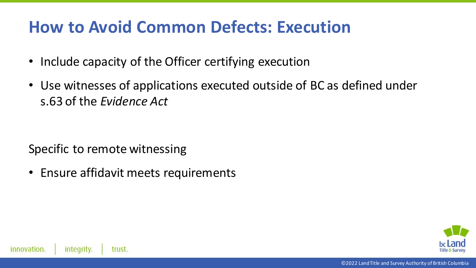#### **How to Avoid Common Defects: Execution**

- Include capacity of the Officer certifying execution
- Use witnesses of applications executed outside of BC as defined under s.63 of the *Evidence Act*

Specific to remote witnessing

• Ensure affidavit meets requirements

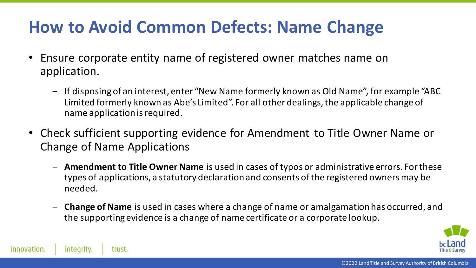#### **How to Avoid Common Defects: Name Change**

- Ensure corporate entity name of registered owner matches name on application.
	- ‒ If disposing of an interest, enter "New Name formerly known as Old Name", for example "ABC Limited formerly known as Abe's Limited". For all other dealings, the applicable change of name application is required.
- Check sufficient supporting evidence for Amendment to Title Owner Name or Change of Name Applications
	- ‒ **Amendment to Title Owner Name** is used in cases of typos or administrative errors. For these types of applications, a statutory declaration and consents of the registered owners may be needed.
	- ‒ **Change of Name** is used in cases where a change of name or amalgamation has occurred, and the supporting evidence is a change of name certificate or a corporate lookup.

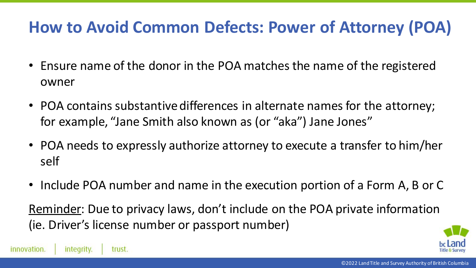### **How to Avoid Common Defects: Power of Attorney (POA)**

- Ensure name of the donor in the POA matches the name of the registered owner
- POA contains substantive differences in alternate names for the attorney; for example, "Jane Smith also known as (or "aka") Jane Jones"
- POA needs to expressly authorize attorney to execute a transfer to him/her self
- Include POA number and name in the execution portion of a Form A, B or C

Reminder: Due to privacy laws, don't include on the POA private information (ie. Driver's license number or passport number)

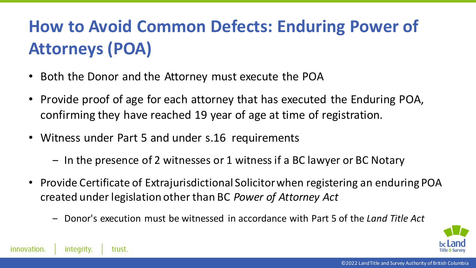# **How to Avoid Common Defects: Enduring Power of Attorneys (POA)**

- Both the Donor and the Attorney must execute the POA
- Provide proof of age for each attorney that has executed the Enduring POA, confirming they have reached 19 year of age at time of registration.
- Witness under Part 5 and under s.16 requirements
	- ‒ In the presence of 2 witnesses or 1 witness if a BC lawyer or BC Notary
- Provide Certificate of Extrajurisdictional Solicitor when registering an enduring POA created under legislation other than BC *Power of Attorney Act*
	- ‒ Donor's execution must be witnessed in accordance with Part 5 of the *Land Title Act*

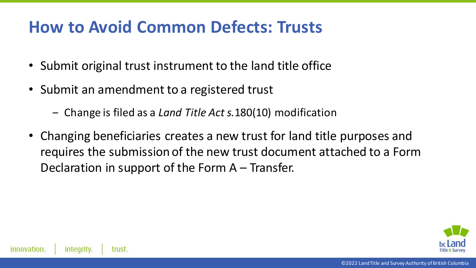#### **How to Avoid Common Defects: Trusts**

- Submit original trust instrument to the land title office
- Submit an amendment to a registered trust
	- ‒ Change is filed as a *Land Title Act s.*180(10) modification
- Changing beneficiaries creates a new trust for land title purposes and requires the submission of the new trust document attached to a Form Declaration in support of the Form A – Transfer.

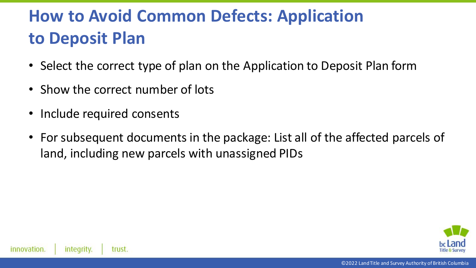## **How to Avoid Common Defects: Application to Deposit Plan**

- Select the correct type of plan on the Application to Deposit Plan form
- Show the correct number of lots
- Include required consents
- For subsequent documents in the package: List all of the affected parcels of land, including new parcels with unassigned PIDs

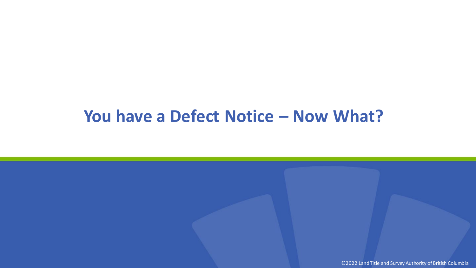#### **You have a Defect Notice – Now What?**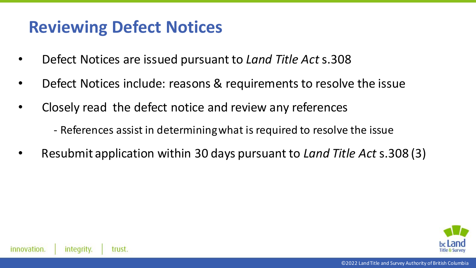#### **Reviewing Defect Notices**

- Defect Notices are issued pursuant to *Land Title Act* s.308
- Defect Notices include: reasons & requirements to resolve the issue
- Closely read the defect notice and review any references
	- References assist in determining what is required to resolve the issue
- Resubmit application within 30 days pursuant to *Land Title Act* s.308 (3)

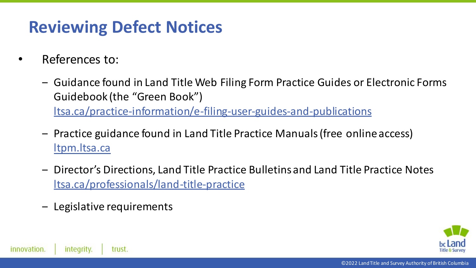### **Reviewing Defect Notices**

- References to:
	- ‒ Guidance found in Land Title Web Filing Form Practice Guides or Electronic Forms Guidebook (the "Green Book") [ltsa.ca/practice-information/e-filing-user-guides-and-publications](https://ltsa.ca/practice-information/e-filing-user-guides-and-publications)
	- ‒ Practice guidance found in Land Title Practice Manuals (free online access) [ltpm.ltsa.ca](http://www.ltpm.ltsa.ca/)
	- ‒ Director's Directions, Land Title Practice Bulletins and Land Title Practice Notes ltsa.ca/professionals/land-title-practice
	- ‒ Legislative requirements

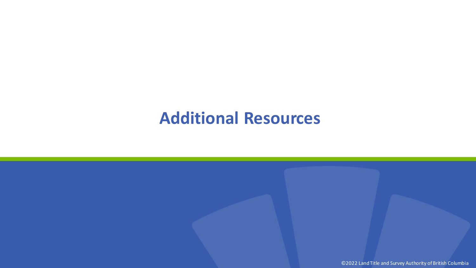#### **Additional Resources**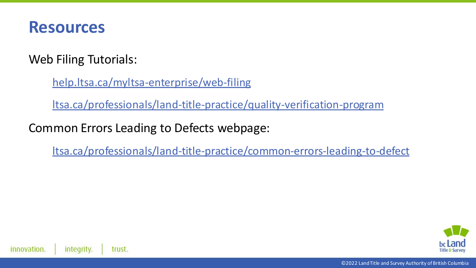

Web Filing Tutorials:

[help.ltsa.ca/myltsa-enterprise/web-filing](https://help.ltsa.ca/myltsa-enterprise/web-filing)

ltsa.ca/professionals/land-title-practice/quality-verification-program

Common Errors Leading to Defects webpage:

ltsa.ca/professionals/land-title-practice/common-errors-leading-to-defect

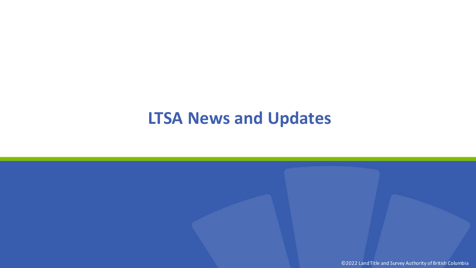#### **LTSA News and Updates**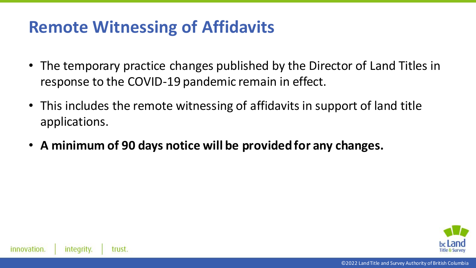#### **Remote Witnessing of Affidavits**

- The temporary practice changes published by the Director of Land Titles in response to the COVID-19 pandemic remain in effect.
- This includes the remote witnessing of affidavits in support of land title applications.
- **A minimum of 90 days notice will be provided for any changes.**

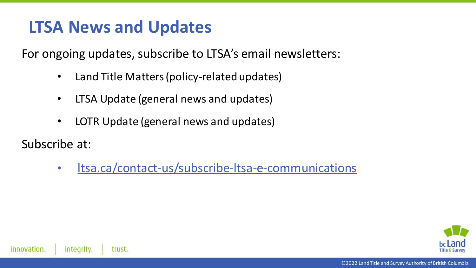#### **LTSA News and Updates**

For ongoing updates, subscribe to LTSA's email newsletters:

- Land Title Matters (policy-related updates)
- LTSA Update (general news and updates)
- LOTR Update (general news and updates)

Subscribe at:

• [ltsa.ca/contact-us/subscribe-ltsa-e-communications](https://ltsa.ca/contact-us/subscribe-ltsa-e-communications)

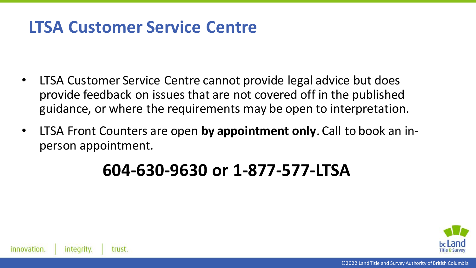#### **LTSA Customer Service Centre**

- LTSA Customer Service Centre cannot provide legal advice but does provide feedback on issues that are not covered off in the published guidance, or where the requirements may be open to interpretation.
- LTSA Front Counters are open **by appointment only**. Call to book an inperson appointment.

#### **604-630-9630 or 1-877-577-LTSA**

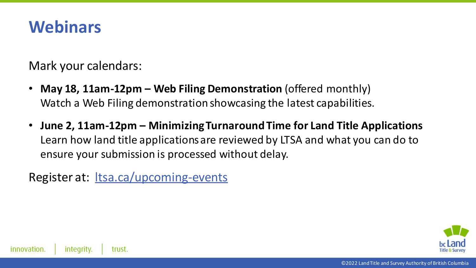#### **Webinars**

Mark your calendars:

- **May 18, 11am-12pm – Web Filing Demonstration** (offered monthly) Watch a Web Filing demonstration showcasing the latest capabilities.
- **June 2, 11am-12pm – Minimizing Turnaround Time for Land Title Applications** Learn how land title applications are reviewed by LTSA and what you can do to ensure your submission is processed without delay.

Register at: ltsa.ca/upcoming-events